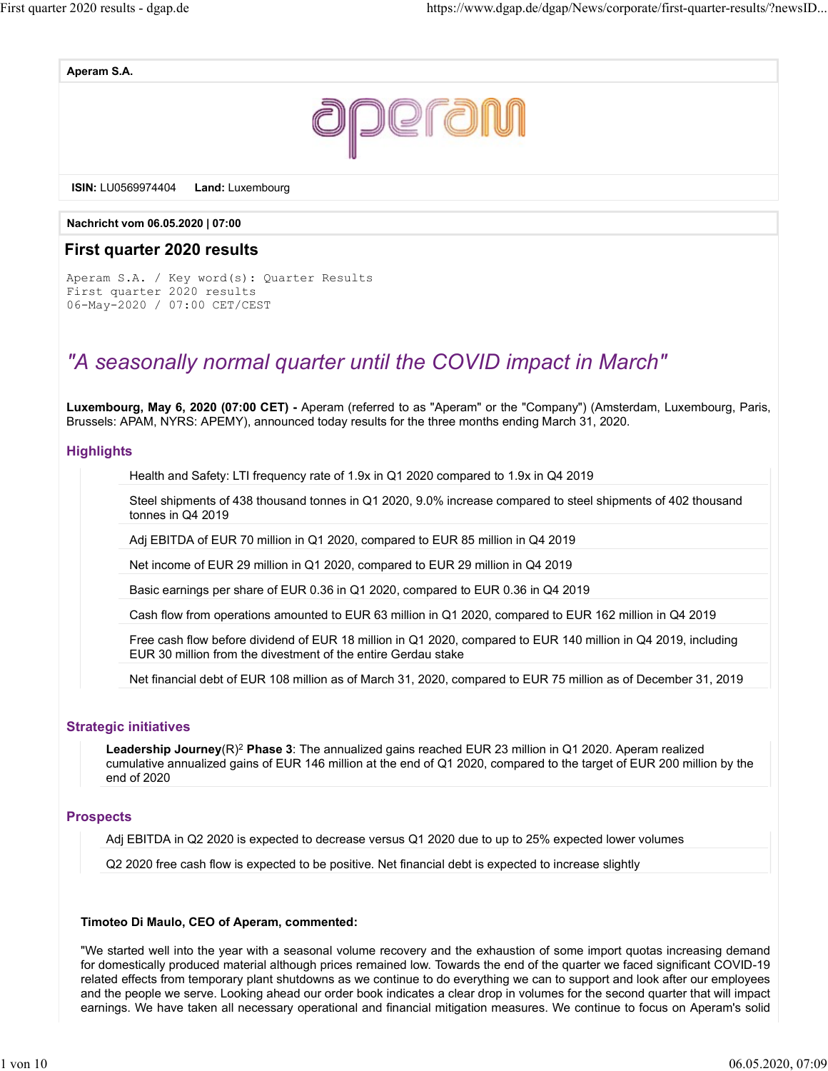Aperam S.A.



ISIN: LU0569974404 Land: Luxembourg

Nachricht vom 06.05.2020 | 07:00

#### First quarter 2020 results

Aperam S.A. / Key word(s): Quarter Results First quarter 2020 results 06-May-2020 / 07:00 CET/CEST

# "A seasonally normal quarter until the COVID impact in March"

Luxembourg, May 6, 2020 (07:00 CET) - Aperam (referred to as "Aperam" or the "Company") (Amsterdam, Luxembourg, Paris, Brussels: APAM, NYRS: APEMY), announced today results for the three months ending March 31, 2020.

#### **Highlights**

Health and Safety: LTI frequency rate of 1.9x in Q1 2020 compared to 1.9x in Q4 2019

Steel shipments of 438 thousand tonnes in Q1 2020, 9.0% increase compared to steel shipments of 402 thousand tonnes in Q4 2019

Adj EBITDA of EUR 70 million in Q1 2020, compared to EUR 85 million in Q4 2019

Net income of EUR 29 million in Q1 2020, compared to EUR 29 million in Q4 2019

Basic earnings per share of EUR 0.36 in Q1 2020, compared to EUR 0.36 in Q4 2019

Cash flow from operations amounted to EUR 63 million in Q1 2020, compared to EUR 162 million in Q4 2019

Free cash flow before dividend of EUR 18 million in Q1 2020, compared to EUR 140 million in Q4 2019, including EUR 30 million from the divestment of the entire Gerdau stake

Net financial debt of EUR 108 million as of March 31, 2020, compared to EUR 75 million as of December 31, 2019

#### Strategic initiatives

**Leadership Journey**(R)<sup>2</sup> Phase 3: The annualized gains reached EUR 23 million in Q1 2020. Aperam realized cumulative annualized gains of EUR 146 million at the end of Q1 2020, compared to the target of EUR 200 million by the end of 2020

#### **Prospects**

Adj EBITDA in Q2 2020 is expected to decrease versus Q1 2020 due to up to 25% expected lower volumes

Q2 2020 free cash flow is expected to be positive. Net financial debt is expected to increase slightly

#### Timoteo Di Maulo, CEO of Aperam, commented:

"We started well into the year with a seasonal volume recovery and the exhaustion of some import quotas increasing demand for domestically produced material although prices remained low. Towards the end of the quarter we faced significant COVID-19 related effects from temporary plant shutdowns as we continue to do everything we can to support and look after our employees and the people we serve. Looking ahead our order book indicates a clear drop in volumes for the second quarter that will impact earnings. We have taken all necessary operational and financial mitigation measures. We continue to focus on Aperam's solid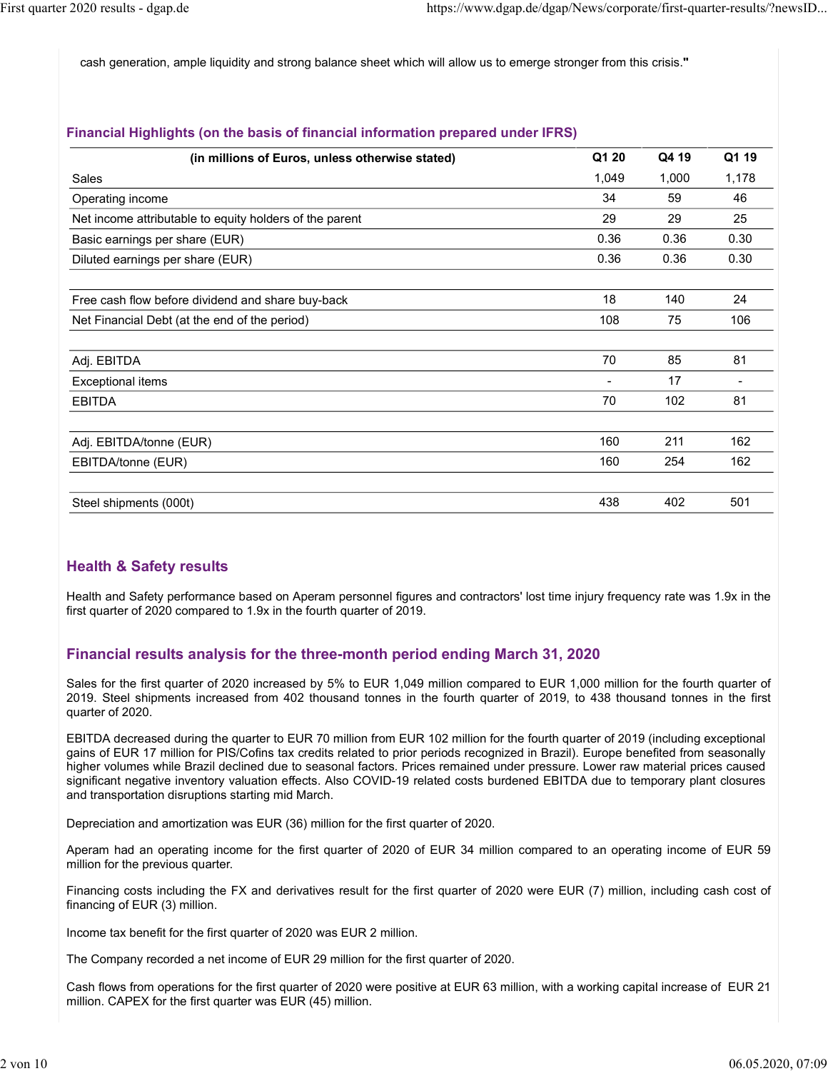cash generation, ample liquidity and strong balance sheet which will allow us to emerge stronger from this crisis." First quarter 2020 results - dgap.de<br>https://www.dgap.de/dgap/News/corporate/first-quarter-results/?newsID...<br>cash generation, ample liquidity and strong balance sheet which will allow us to emerge stronger from this crisi

#### Financial Highlights (on the basis of financial information prepared under IFRS)

| r 2020 results - dgap.de<br>https://www.dgap.de/dgap/News/corporate/first-quarter-results/?newsID                                                                                                                                                                                                                                                                                                                                                                                                                                                                                                                                                                                                                                                                                                                                                                                                                                                                                                                                                                                                                                                                   |      |                |
|---------------------------------------------------------------------------------------------------------------------------------------------------------------------------------------------------------------------------------------------------------------------------------------------------------------------------------------------------------------------------------------------------------------------------------------------------------------------------------------------------------------------------------------------------------------------------------------------------------------------------------------------------------------------------------------------------------------------------------------------------------------------------------------------------------------------------------------------------------------------------------------------------------------------------------------------------------------------------------------------------------------------------------------------------------------------------------------------------------------------------------------------------------------------|------|----------------|
|                                                                                                                                                                                                                                                                                                                                                                                                                                                                                                                                                                                                                                                                                                                                                                                                                                                                                                                                                                                                                                                                                                                                                                     |      |                |
| cash generation, ample liquidity and strong balance sheet which will allow us to emerge stronger from this crisis."                                                                                                                                                                                                                                                                                                                                                                                                                                                                                                                                                                                                                                                                                                                                                                                                                                                                                                                                                                                                                                                 |      |                |
| Financial Highlights (on the basis of financial information prepared under IFRS)                                                                                                                                                                                                                                                                                                                                                                                                                                                                                                                                                                                                                                                                                                                                                                                                                                                                                                                                                                                                                                                                                    |      |                |
| Q1 20<br>(in millions of Euros, unless otherwise stated)                                                                                                                                                                                                                                                                                                                                                                                                                                                                                                                                                                                                                                                                                                                                                                                                                                                                                                                                                                                                                                                                                                            |      | Q1 19<br>Q4 19 |
| 1,049<br>Sales                                                                                                                                                                                                                                                                                                                                                                                                                                                                                                                                                                                                                                                                                                                                                                                                                                                                                                                                                                                                                                                                                                                                                      |      | 1,178<br>1,000 |
| 34<br>Operating income                                                                                                                                                                                                                                                                                                                                                                                                                                                                                                                                                                                                                                                                                                                                                                                                                                                                                                                                                                                                                                                                                                                                              |      | 59<br>46       |
| 29<br>Net income attributable to equity holders of the parent                                                                                                                                                                                                                                                                                                                                                                                                                                                                                                                                                                                                                                                                                                                                                                                                                                                                                                                                                                                                                                                                                                       |      | 29<br>25       |
| 0.36<br>Basic earnings per share (EUR)                                                                                                                                                                                                                                                                                                                                                                                                                                                                                                                                                                                                                                                                                                                                                                                                                                                                                                                                                                                                                                                                                                                              | 0.36 | 0.30           |
| 0.36<br>Diluted earnings per share (EUR)                                                                                                                                                                                                                                                                                                                                                                                                                                                                                                                                                                                                                                                                                                                                                                                                                                                                                                                                                                                                                                                                                                                            | 0.36 | 0.30           |
| 18<br>Free cash flow before dividend and share buy-back                                                                                                                                                                                                                                                                                                                                                                                                                                                                                                                                                                                                                                                                                                                                                                                                                                                                                                                                                                                                                                                                                                             |      | 24<br>140      |
| 108<br>Net Financial Debt (at the end of the period)                                                                                                                                                                                                                                                                                                                                                                                                                                                                                                                                                                                                                                                                                                                                                                                                                                                                                                                                                                                                                                                                                                                |      | 75<br>106      |
| 70<br>Adj. EBITDA                                                                                                                                                                                                                                                                                                                                                                                                                                                                                                                                                                                                                                                                                                                                                                                                                                                                                                                                                                                                                                                                                                                                                   |      | 85<br>81       |
| <b>Exceptional items</b>                                                                                                                                                                                                                                                                                                                                                                                                                                                                                                                                                                                                                                                                                                                                                                                                                                                                                                                                                                                                                                                                                                                                            | 17   |                |
| 70<br><b>EBITDA</b>                                                                                                                                                                                                                                                                                                                                                                                                                                                                                                                                                                                                                                                                                                                                                                                                                                                                                                                                                                                                                                                                                                                                                 |      | 102<br>81      |
| 160<br>Adj. EBITDA/tonne (EUR)                                                                                                                                                                                                                                                                                                                                                                                                                                                                                                                                                                                                                                                                                                                                                                                                                                                                                                                                                                                                                                                                                                                                      |      | 211<br>162     |
| 160<br>EBITDA/tonne (EUR)                                                                                                                                                                                                                                                                                                                                                                                                                                                                                                                                                                                                                                                                                                                                                                                                                                                                                                                                                                                                                                                                                                                                           |      | 254<br>162     |
| 438<br>Steel shipments (000t)                                                                                                                                                                                                                                                                                                                                                                                                                                                                                                                                                                                                                                                                                                                                                                                                                                                                                                                                                                                                                                                                                                                                       |      | 501<br>402     |
| <b>Health &amp; Safety results</b><br>Health and Safety performance based on Aperam personnel figures and contractors' lost time injury frequency rate was 1.9x in the<br>first quarter of 2020 compared to 1.9x in the fourth quarter of 2019.<br>Financial results analysis for the three-month period ending March 31, 2020<br>Sales for the first quarter of 2020 increased by 5% to EUR 1,049 million compared to EUR 1,000 million for the fourth quarter of<br>2019. Steel shipments increased from 402 thousand tonnes in the fourth quarter of 2019, to 438 thousand tonnes in the first<br>quarter of 2020.<br>EBITDA decreased during the quarter to EUR 70 million from EUR 102 million for the fourth quarter of 2019 (including exceptional<br>gains of EUR 17 million for PIS/Cofins tax credits related to prior periods recognized in Brazil). Europe benefited from seasonally<br>higher volumes while Brazil declined due to seasonal factors. Prices remained under pressure. Lower raw material prices caused<br>significant negative inventory valuation effects. Also COVID-19 related costs burdened EBITDA due to temporary plant closures |      |                |

#### Health & Safety results

#### Financial results analysis for the three-month period ending March 31, 2020

gains of EUR 17 million for PIS/Cofins tax credits related to prior periods recognized in Brazil). Europe benefited from seasonally higher volumes while Brazil declined due to seasonal factors. Prices remained under pressure. Lower raw material prices caused significant negative inventory valuation effects. Also COVID-19 related costs burdened EBITDA due to temporary plant closures and transportation disruptions starting mid March. Assel shipments (0001)<br>
Assel and Safety presults<br>
Health & Safety presults<br>
Health an Safety personnance based on Aperam personnel figures and contractors' lost time injury frequency rate was 1.9x in the<br>
Hirst quarter o first quarter of 2020 compared to 1.9x in the fourth quarter of 2019.<br>
Financial results analysis for the three-month period ending March 31, 2020<br>
Sales for the first quarter of 2020 increased by 5% to EUR 1,049 million c Financial results analysis for the three-month period ending March 31, 2020<br>Sales for the first quarter of 2020 increased by 5% to EUR 1,049 million compared to EUR 1,000 million for the fourth quarter of<br>2019, to 438 tho

Depreciation and amortization was EUR (36) million for the first quarter of 2020.

million for the previous quarter.

Financing costs including the FX and derivatives result for the first quarter of 2020 were EUR (7) million, including cash cost of financing of EUR (3) million.

Income tax benefit for the first quarter of 2020 was EUR 2 million.

million. CAPEX for the first quarter was EUR (45) million.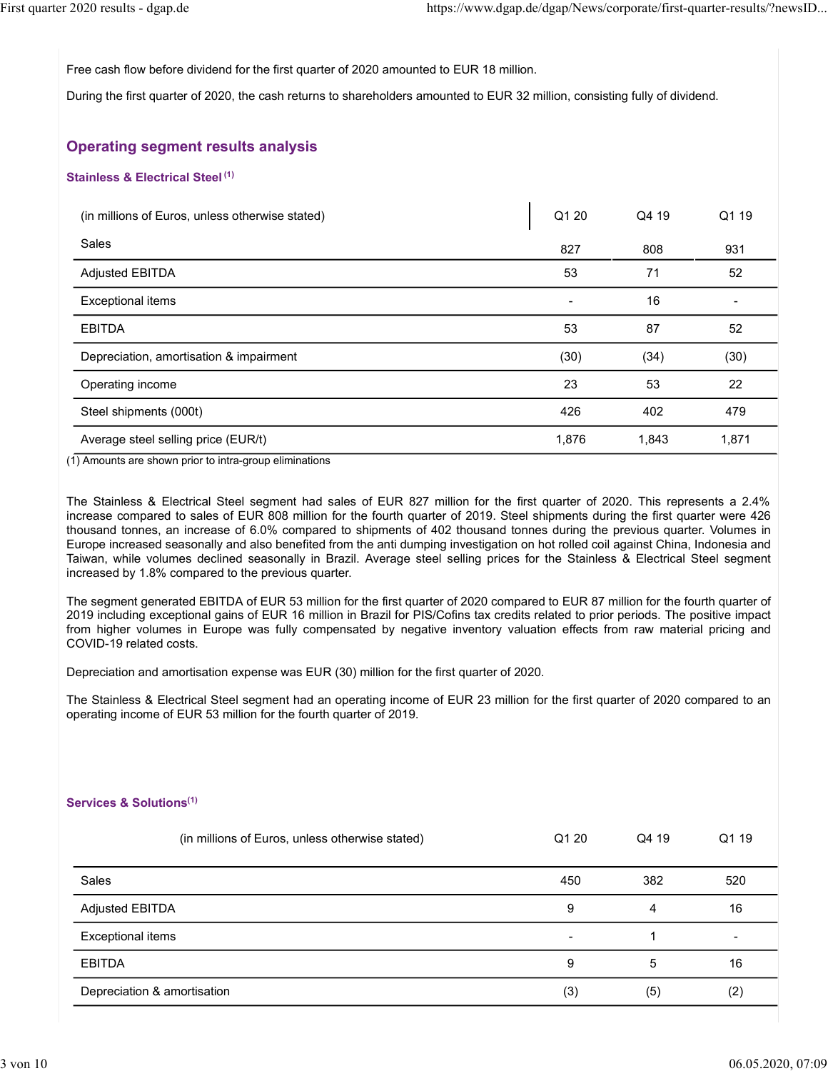First quarter 2020 results - dgap.de<br>https://www.dgap.de/dgap/News/corporate/first-quarter-results/?newsID...<br>Free cash flow before dividend for the first quarter of 2020 amounted to EUR 18 million.<br>During the first quarte

2020 results - dgap.de<br>
Free cash flow before dividend for the first quarter of 2020 amounted to EUR 18 million.<br>
During the first quarter of 2020, the cash returns to shareholders amounted to EUR 18 million.<br> **Operating s** During the first quarter of 2020, the cash returns to shareholders amounted to EUR 32 million, consisting fully of dividend.

# Operating segment results analysis

#### Stainless & Electrical Steel<sup>(1)</sup>

#### Services & Solutions(1)

| The Stainless & Electrical Steel segment had sales of EUR 827 million for the first quarter of 2020. This represents a 2.4%<br>ocrease compared to sales of EUR 808 million for the fourth quarter of 2019. Steel shipments during the first quarter were 426<br>nousand tonnes, an increase of 6.0% compared to shipments of 402 thousand tonnes during the previous quarter. Volumes in<br>Europe increased seasonally and also benefited from the anti dumping investigation on hot rolled coil against China, Indonesia and<br>aiwan, while volumes declined seasonally in Brazil. Average steel selling prices for the Stainless & Electrical Steel segment<br>ncreased by 1.8% compared to the previous quarter. |       |              |                   |
|------------------------------------------------------------------------------------------------------------------------------------------------------------------------------------------------------------------------------------------------------------------------------------------------------------------------------------------------------------------------------------------------------------------------------------------------------------------------------------------------------------------------------------------------------------------------------------------------------------------------------------------------------------------------------------------------------------------------|-------|--------------|-------------------|
| he segment generated EBITDA of EUR 53 million for the first quarter of 2020 compared to EUR 87 million for the fourth quarter of<br>019 including exceptional gains of EUR 16 million in Brazil for PIS/Cofins tax credits related to prior periods. The positive impact<br>om higher volumes in Europe was fully compensated by negative inventory valuation effects from raw material pricing and<br>COVID-19 related costs.                                                                                                                                                                                                                                                                                         |       |              |                   |
| )epreciation and amortisation expense was EUR (30) million for the first quarter of 2020.                                                                                                                                                                                                                                                                                                                                                                                                                                                                                                                                                                                                                              |       |              |                   |
| The Stainless & Electrical Steel segment had an operating income of EUR 23 million for the first quarter of 2020 compared to an<br>perating income of EUR 53 million for the fourth quarter of 2019.                                                                                                                                                                                                                                                                                                                                                                                                                                                                                                                   |       |              |                   |
| $\mathsf{is}$ rvices & Solutions $^{(1)}$<br>(in millions of Euros, unless otherwise stated)                                                                                                                                                                                                                                                                                                                                                                                                                                                                                                                                                                                                                           | Q1 20 | Q4 19        | Q1 19             |
| Sales                                                                                                                                                                                                                                                                                                                                                                                                                                                                                                                                                                                                                                                                                                                  | 450   | 382          | 520               |
| <b>Adjusted EBITDA</b>                                                                                                                                                                                                                                                                                                                                                                                                                                                                                                                                                                                                                                                                                                 | 9     | 4            | 16                |
| <b>Exceptional items</b>                                                                                                                                                                                                                                                                                                                                                                                                                                                                                                                                                                                                                                                                                               |       | $\mathbf{1}$ |                   |
| <b>EBITDA</b>                                                                                                                                                                                                                                                                                                                                                                                                                                                                                                                                                                                                                                                                                                          | 9     | 5            | 16                |
| Depreciation & amortisation                                                                                                                                                                                                                                                                                                                                                                                                                                                                                                                                                                                                                                                                                            | (3)   | (5)          | (2)               |
|                                                                                                                                                                                                                                                                                                                                                                                                                                                                                                                                                                                                                                                                                                                        |       |              |                   |
|                                                                                                                                                                                                                                                                                                                                                                                                                                                                                                                                                                                                                                                                                                                        |       |              | 06.05.2020, 07:09 |
|                                                                                                                                                                                                                                                                                                                                                                                                                                                                                                                                                                                                                                                                                                                        |       |              |                   |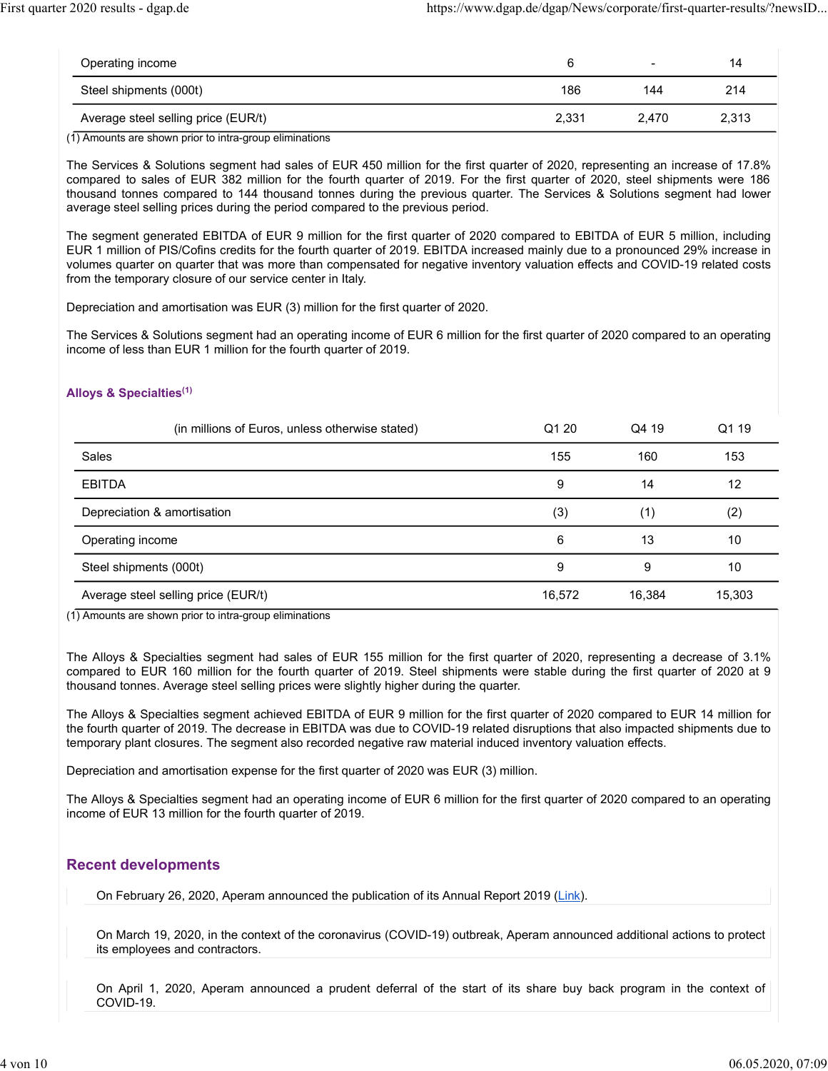| First quarter 2020 results - dgap.de                    | https://www.dgap.de/dgap/News/corporate/first-quarter-results/?newsID |       |       |  |
|---------------------------------------------------------|-----------------------------------------------------------------------|-------|-------|--|
|                                                         |                                                                       |       |       |  |
| Operating income                                        | $6\phantom{1}$                                                        |       | 14    |  |
| Steel shipments (000t)                                  | 186                                                                   | 144   | 214   |  |
| Average steel selling price (EUR/t)                     | 2,331                                                                 | 2,470 | 2,313 |  |
| (1) Amounts are shown prior to intra-group eliminations |                                                                       |       |       |  |

#### Alloys & Specialties(1)

| Steel shipments (000t)                                                                                                                                                                                                                                                                                                                                                                                                                                                       | 186    | 144    | 214             |
|------------------------------------------------------------------------------------------------------------------------------------------------------------------------------------------------------------------------------------------------------------------------------------------------------------------------------------------------------------------------------------------------------------------------------------------------------------------------------|--------|--------|-----------------|
| Average steel selling price (EUR/t)                                                                                                                                                                                                                                                                                                                                                                                                                                          | 2,331  | 2,470  | 2,313           |
| (1) Amounts are shown prior to intra-group eliminations                                                                                                                                                                                                                                                                                                                                                                                                                      |        |        |                 |
| The Services & Solutions segment had sales of EUR 450 million for the first quarter of 2020, representing an increase of 17.8%<br>compared to sales of EUR 382 million for the fourth quarter of 2019. For the first quarter of 2020, steel shipments were 186<br>thousand tonnes compared to 144 thousand tonnes during the previous quarter. The Services & Solutions segment had lower<br>average steel selling prices during the period compared to the previous period. |        |        |                 |
| The segment generated EBITDA of EUR 9 million for the first quarter of 2020 compared to EBITDA of EUR 5 million, including<br>EUR 1 million of PIS/Cofins credits for the fourth quarter of 2019. EBITDA increased mainly due to a pronounced 29% increase in<br>volumes quarter on quarter that was more than compensated for negative inventory valuation effects and COVID-19 related costs<br>from the temporary closure of our service center in Italy.                 |        |        |                 |
| Depreciation and amortisation was EUR (3) million for the first quarter of 2020.                                                                                                                                                                                                                                                                                                                                                                                             |        |        |                 |
| The Services & Solutions segment had an operating income of EUR 6 million for the first quarter of 2020 compared to an operating<br>income of less than EUR 1 million for the fourth quarter of 2019.<br>Alloys & Specialties <sup>(1)</sup>                                                                                                                                                                                                                                 |        |        |                 |
|                                                                                                                                                                                                                                                                                                                                                                                                                                                                              |        |        |                 |
| (in millions of Euros, unless otherwise stated)                                                                                                                                                                                                                                                                                                                                                                                                                              | Q1 20  | Q4 19  | Q1 19           |
| Sales                                                                                                                                                                                                                                                                                                                                                                                                                                                                        | 155    | 160    | 153             |
| <b>EBITDA</b>                                                                                                                                                                                                                                                                                                                                                                                                                                                                | 9      | 14     | 12              |
| Depreciation & amortisation                                                                                                                                                                                                                                                                                                                                                                                                                                                  | (3)    | (1)    | (2)             |
| Operating income                                                                                                                                                                                                                                                                                                                                                                                                                                                             | 6      | 13     | 10              |
| Steel shipments (000t)                                                                                                                                                                                                                                                                                                                                                                                                                                                       | 9      | 9      | 10 <sup>°</sup> |
| Average steel selling price (EUR/t)                                                                                                                                                                                                                                                                                                                                                                                                                                          | 16,572 | 16,384 | 15,303          |
| (1) Amounts are shown prior to intra-group eliminations                                                                                                                                                                                                                                                                                                                                                                                                                      |        |        |                 |
|                                                                                                                                                                                                                                                                                                                                                                                                                                                                              |        |        |                 |
| The Alloys & Specialties segment had sales of EUR 155 million for the first quarter of 2020, representing a decrease of 3.1%<br>compared to EUR 160 million for the fourth quarter of 2019. Steel shipments were stable during the first quarter of 2020 at 9<br>thousand tonnes. Average steel selling prices were slightly higher during the quarter.                                                                                                                      |        |        |                 |
| The Alloys & Specialties segment achieved EBITDA of EUR 9 million for the first quarter of 2020 compared to EUR 14 million for<br>the fourth quarter of 2019. The decrease in EBITDA was due to COVID-19 related disruptions that also impacted shipments due to<br>temporary plant closures. The segment also recorded negative raw material induced inventory valuation effects.                                                                                           |        |        |                 |
| Depreciation and amortisation expense for the first quarter of 2020 was EUR (3) million.                                                                                                                                                                                                                                                                                                                                                                                     |        |        |                 |
| The Alloys & Specialties segment had an operating income of FLIR 6 million for the first quarter of 2020 compared to an operating                                                                                                                                                                                                                                                                                                                                            |        |        |                 |

The Alloys & Specialties segment had an operating income of EUR 6 million for the first quarter of 2020 compared to an operating income of EUR 13 million for the fourth quarter of 2019.

#### Recent developments

On February 26, 2020, Aperam announced the publication of its Annual Report 2019 (Link).

On March 19, 2020, in the context of the coronavirus (COVID-19) outbreak, Aperam announced additional actions to protect its employees and contractors.

On April 1, 2020, Aperam announced a prudent deferral of the start of its share buy back program in the context of COVID-19.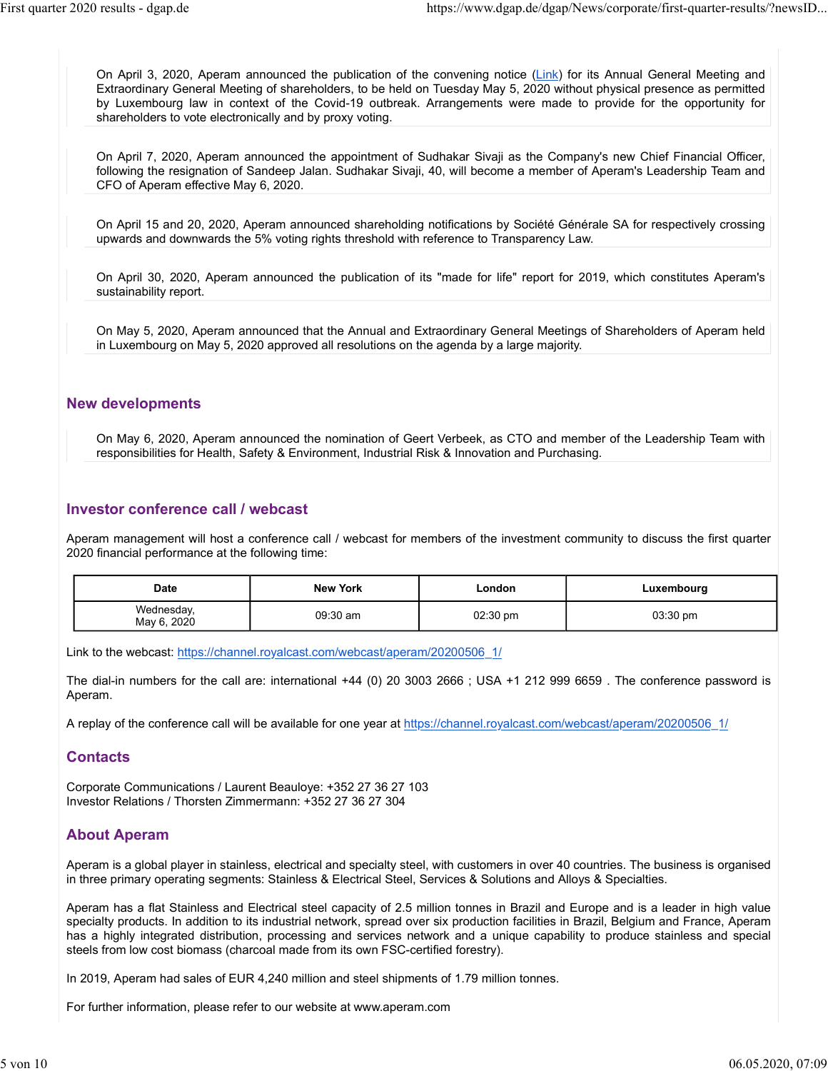On April 3, 2020, Aperam announced the publication of the convening notice (Link) for its Annual General Meeting and Extraordinary General Meeting of shareholders, to be held on Tuesday May 5, 2020 without physical presence as permitted by Luxembourg law in context of the Covid-19 outbreak. Arrangements were made to provide for the opportunity for shareholders to vote electronically and by proxy voting. First quarter 2020 results - dgap.de<br>
On April 3, 2020, Aperam announced the publication of the convening notice (Link) for its Annual General Meeting and<br>
Extraordinary General Meeting of shareholders, to be held on Tuesd

> On April 7, 2020, Aperam announced the appointment of Sudhakar Sivaji as the Company's new Chief Financial Officer, following the resignation of Sandeep Jalan. Sudhakar Sivaji, 40, will become a member of Aperam's Leadership Team and CFO of Aperam effective May 6, 2020.

> On April 15 and 20, 2020, Aperam announced shareholding notifications by Société Générale SA for respectively crossing upwards and downwards the 5% voting rights threshold with reference to Transparency Law.

#### New developments

#### Investor conference call / webcast

|                                                                                         | upwards and downwards the 5% voting rights threshold with reference to Transparency Law.        |                    |                                                                                                                              |
|-----------------------------------------------------------------------------------------|-------------------------------------------------------------------------------------------------|--------------------|------------------------------------------------------------------------------------------------------------------------------|
| sustainability report.                                                                  |                                                                                                 |                    | On April 30, 2020, Aperam announced the publication of its "made for life" report for 2019, which constitutes Aperam's       |
|                                                                                         | in Luxembourg on May 5, 2020 approved all resolutions on the agenda by a large majority.        |                    | On May 5, 2020, Aperam announced that the Annual and Extraordinary General Meetings of Shareholders of Aperam held           |
| <b>New developments</b>                                                                 |                                                                                                 |                    |                                                                                                                              |
|                                                                                         | responsibilities for Health, Safety & Environment, Industrial Risk & Innovation and Purchasing. |                    | On May 6, 2020, Aperam announced the nomination of Geert Verbeek, as CTO and member of the Leadership Team with              |
| Investor conference call / webcast<br>2020 financial performance at the following time: |                                                                                                 |                    | Aperam management will host a conference call / webcast for members of the investment community to discuss the first quarter |
| <b>Date</b>                                                                             | <b>New York</b>                                                                                 | London             | Luxembourg                                                                                                                   |
| Wednesday,<br>May 6, 2020                                                               | 09:30 am                                                                                        | $02:30 \text{ pm}$ | 03:30 pm                                                                                                                     |
| Aperam.                                                                                 | Link to the webcast: https://channel.royalcast.com/webcast/aperam/20200506 1/                   |                    | The dial-in numbers for the call are: international +44 (0) 20 3003 2666; USA +1 212 999 6659. The conference password is    |

A replay of the conference call will be available for one year at https://channel.royalcast.com/webcast/aperam/20200506\_1/

#### **Contacts**

Corporate Communications / Laurent Beauloye: +352 27 36 27 103 Investor Relations / Thorsten Zimmermann: +352 27 36 27 304

#### About Aperam

Aperam is a global player in stainless, electrical and specialty steel, with customers in over 40 countries. The business is organised in three primary operating segments: Stainless & Electrical Steel, Services & Solutions and Alloys & Specialties.

Aperam has a flat Stainless and Electrical steel capacity of 2.5 million tonnes in Brazil and Europe and is a leader in high value specialty products. In addition to its industrial network, spread over six production facilities in Brazil, Belgium and France, Aperam has a highly integrated distribution, processing and services network and a unique capability to produce stainless and special steels from low cost biomass (charcoal made from its own FSC-certified forestry).

In 2019, Aperam had sales of EUR 4,240 million and steel shipments of 1.79 million tonnes.

For further information, please refer to our website at www.aperam.com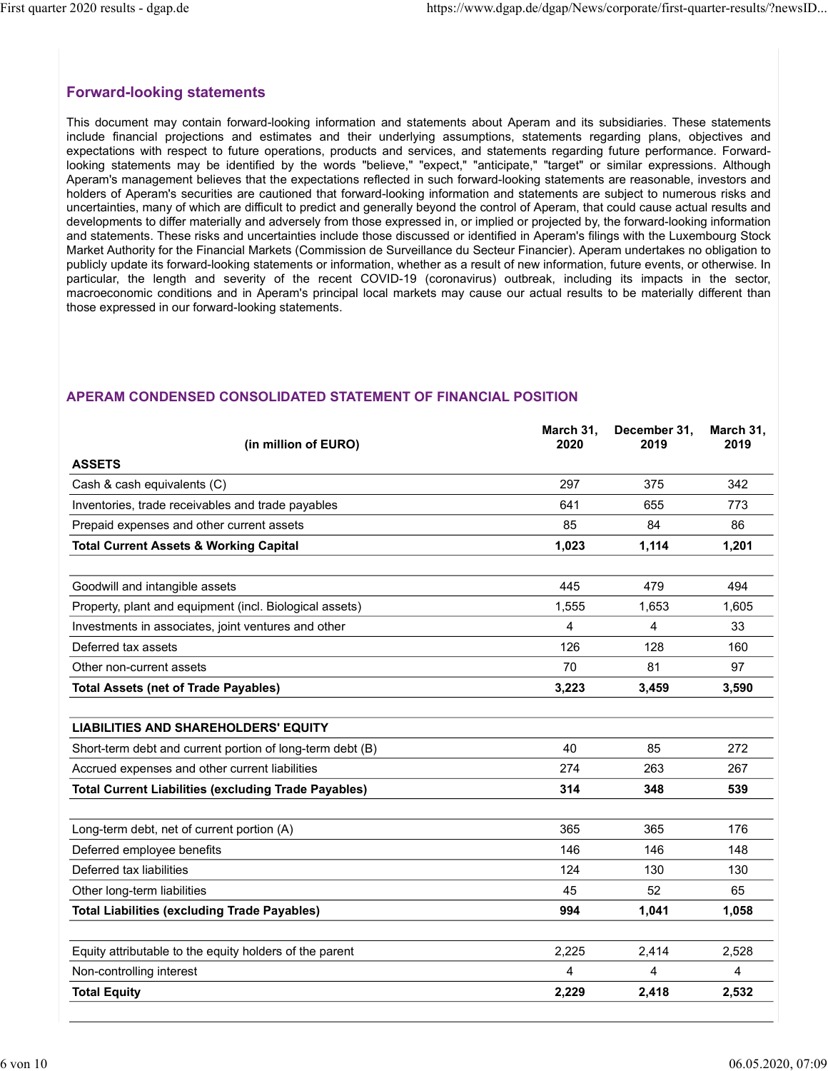March 31, December 31,

March 31,

2019

# Forward-looking statements

This document may contain forward-looking information and statements about Aperam and its subsidiaries. These statements 2020 results - dgap.de<br> **include financial projections and the settimation** and statements about Aperam and its subsidiaries. These statements<br>
This document may contain forward-looking information and statements about Ape expectations with respect to future operations, products and services, and statements regarding future performance. Forwardlooking statements may be identified by the words "believe," "expect," "anticipate," "target" or similar expressions. Although Aperam's management believes that the expectations reflected in such forward-looking statements are reasonable, investors and holders of Aperam's securities are cautioned that forward-looking information and statements are subject to numerous risks and uncertainties, many of which are difficult to predict and generally beyond the control of Aperam, that could cause actual results and developments to differ materially and adversely from those expressed in, or implied or projected by, the forward-looking information and statements. These risks and uncertainties include those discussed or identified in Aperam's filings with the Luxembourg Stock Market Authority for the Financial Markets (Commission de Surveillance du Secteur Financier). Aperam undertakes no obligation to 2020 results - dgap.de https://www.dgap.de/dgap/News/corporate/first-quarter-results/?newsID...<br>
This document may contain forward-looking information and statements about Aperam and its subsidiaries. These statements<br>
Thi 2020 results - dgap.de https://www.dgap.de/dgap/News/corporate/first-quarter-results/?news1D...<br>This document may contain forward-looking information and statements about Aperam and its substidiaries. These statements<br>incl macroeconomic conditions and in Aperam's principal local markets may cause our actual results to be materially different than those expressed in our forward-looking statements. nduce financial projections and estimates and their underlying assumptions, statements regarding platine performance. Forward-<br>operations with respect to future operations, products and services, and statements regarding p Specialization in respect to those operations, procedure and species, and saturities registering to the control of the control of the control of the control of Aperam. Seconds and control of Aperam. The control of Aperam.

# (in million of EURO) 2020 2019 ASSETS perain's management believes that the "expectations reflected in sich forward-booking statements are researchable, investors and<br>others of Aperam's securities are cautioned that horward-looking information and statements a olders of Aperams securities are cautioned instruments and statements are subject to numerous and statements are substituted of the metallion product and sparsing beyond the control of Aperam, that could cause a chain resu nd statements. These risks and uncertainties include those discoussed or identified in Aperams filings with the Luxembourg Stock.<br>
United Authority for the Financial Markets (Commission de Surveillance du Secteur Franchier Motive (incl. Biological assets)<br>
And the street of the street of the street of the method with the street of the street of the street of the street<br>
and and the street of the street of the street of the street of the stre enfluciar, the length and sewelly of the recent COVID-19 (convariation conditions and in Aperam's principal local markets may cause our actual results to be materially different than<br>these expressed in our forward-looking National Conducts and the Apeliants Participal local matikets may cause our actual resours to be materially directed train<br>
ASSETS (in million of EURO) March 31, December 31, March 31,<br>
ASSETS (in million of EURO) March 3 NERAM CONDENSED CONSOLIDATED STATEMENT OF FINANCIAL POSITION<br>
(in million of EURO)<br>
(in million of EURO)<br>
(in million of EURO)<br>
(in million of EURO)<br>
(in million of EURO)<br>
(in million of EURO)<br>
(in a second assets 773<br>
(in **EXERAM CONDENSED CONSOLIDATED STATEMENT OF FINANCIAL POSITION**<br>
(in million of EURO) March 31, December 31, March 31,<br>
1985 TS<br>
Cash & cash equivalents (C)<br>
Inventories, trade receivables and trade payables<br>
Trepaid expen LIABILITIES AND SHAREHOLDERS' EQUITY EPERAM CONDENSED CONSOLIDATED STATEMENT OF FINANCIAL POSITION<br>
SASETS<br>
(in million of EURO) March 31, December 31, March 31,<br>
Class & cash equivalents (C)<br>
(invertions, trade receivables and trade payables<br>
Frequid expense **ASSETS**<br>
(In million of EURO)<br>
Cash & cash equivalents (C)<br>
Cash & cash equivalents (C)<br>
Inventories, trade receivables and trade payables<br>
Prepaid expenses and other current assets<br>
Prepaid expenses and other current ass ASSETS (In million of EURO) 2020 (according Trade Payables) 2017 375 342<br>
Inventories, trade recoivables and trade payables<br>
Prepaid expenses and other current assets<br>
Total Current Assets & Working Capital<br>
Goodvill and i Cash & cash equivalents (C)<br>
Inventories, tade receivables and trade payables<br>
Frepaid expenses and other current assets<br>
The Prepaid expenses and other current assets<br>
Total Current Assets & Working Capital<br>
Goodwill and Inventionies, trade receivables and trade payables<br>
Protaid current Assets & Working Capital<br>
Total Current Assets & Working Capital<br>
Goodwill and intangible assets<br>
Property, plant and equipment (incl. Biological assets)<br> Propaid expenses and other current assets<br>
Total Current Assets & Working Capital<br>
Goodwill and intengible assets<br>
Coodwill and intengible assets<br>
Movements in associates, joint ventures and other<br>
Deferred tax assets<br>
Def Total Current Assets & Working Capital (1,023 1,114 1,201<br>
Goodwill and intangible assets<br>
Property, plant and equipment (ind. Biological assets) 445 479 494<br>
Investments in associates, joint ventures and other 1555 1.655 Goodwill and intangible assets<br>
Property, piant and equipment (incl. Biological assets)<br>
Investments in associates, joint ventures and other<br>
Deferred tax assets<br>
Deferred tax assets<br>
Deferred tax assets<br>
Total Assets (net Equity attributable to the equity holders of the parent 2,225 2,414 2,528 Investments in associates, joint ventures and other<br>
Deferred assasts<br>
126 128 128 160<br>
Other non-current assets<br>
170 181 97<br>
Total Assets (net of Trade Payables) 3,223 3,459 3,590<br>
4. Alexandre of and control of one-curre Chefored lax assets<br>
126 128 160<br>
12 Other non-current assets<br>
170 8 1 97<br>
170 81 97<br>
170 81 97<br>
170 81 97<br>
170 81 97<br>
170 81 97<br>
170 81 97<br>
170 81 97<br>
170 81 97<br>
170 98<br>
170 98<br>
170 98<br>
170 12 12 12 12 12 12 12 12 12 12 1

# APERAM CONDENSED CONSOLIDATED STATEMENT OF FINANCIAL POSITION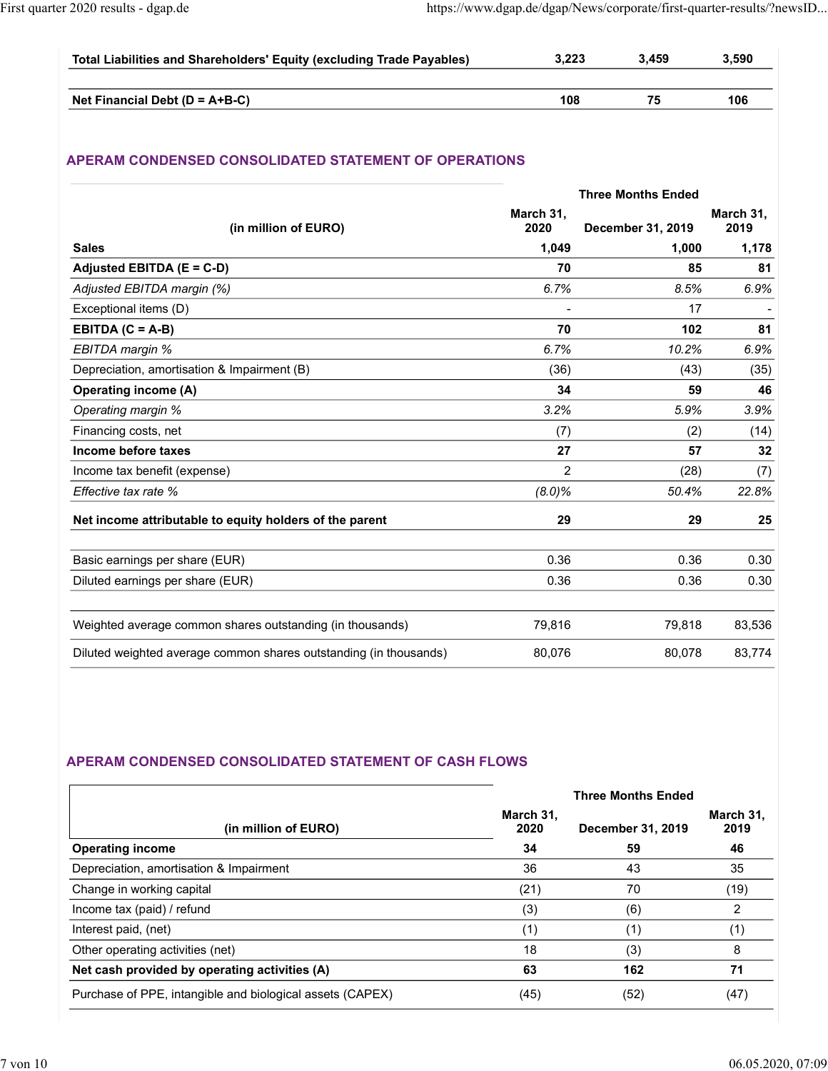|                                                                                                               |       |       | https://www.dgap.de/dgap/News/corporate/first-quarter-results/?newsID |  |
|---------------------------------------------------------------------------------------------------------------|-------|-------|-----------------------------------------------------------------------|--|
| First quarter 2020 results - dgap.de<br>Total Liabilities and Shareholders' Equity (excluding Trade Payables) | 3,223 | 3,459 | 3,590                                                                 |  |

# APERAM CONDENSED CONSOLIDATED STATEMENT OF OPERATIONS

| Total Liabilities and Shareholders' Equity (excluding Trade Payables) | 3,223             | 3,459                     | 3,590             |
|-----------------------------------------------------------------------|-------------------|---------------------------|-------------------|
|                                                                       |                   |                           |                   |
| Net Financial Debt (D = A+B-C)                                        | 108               | 75                        | 106               |
| APERAM CONDENSED CONSOLIDATED STATEMENT OF OPERATIONS                 |                   |                           |                   |
|                                                                       |                   | <b>Three Months Ended</b> |                   |
| (in million of EURO)                                                  | March 31,<br>2020 | December 31, 2019         | March 31,<br>2019 |
| <b>Sales</b>                                                          | 1,049             | 1,000                     | 1,178             |
| Adjusted EBITDA (E = C-D)                                             | 70                | 85                        | 81                |
| Adjusted EBITDA margin (%)                                            | 6.7%              | 8.5%                      | 6.9%              |
| Exceptional items (D)                                                 |                   | 17                        |                   |
| EBITDA $(C = A-B)$                                                    | 70                | 102                       | 81                |
| EBITDA margin %                                                       | 6.7%              | 10.2%                     | 6.9%              |
| Depreciation, amortisation & Impairment (B)                           | (36)              | (43)                      | (35)              |
| <b>Operating income (A)</b>                                           | 34                | 59                        | 46                |
| Operating margin %                                                    | 3.2%              | 5.9%                      | 3.9%              |
| Financing costs, net                                                  | (7)               | (2)                       | (14)              |
| Income before taxes                                                   | 27<br>$\sqrt{2}$  | 57<br>(28)                | 32<br>(7)         |
| Income tax benefit (expense)<br>Effective tax rate %                  | $(8.0)\%$         | 50.4%                     | 22.8%             |
|                                                                       |                   |                           |                   |
| Net income attributable to equity holders of the parent               | 29                | 29                        | 25                |
| Basic earnings per share (EUR)                                        | 0.36              | 0.36                      | 0.30              |
| Diluted earnings per share (EUR)                                      | 0.36              | 0.36                      | 0.30              |
|                                                                       |                   |                           |                   |
| Weighted average common shares outstanding (in thousands)             | 79,816            | 79,818                    | 83,536            |
| Diluted weighted average common shares outstanding (in thousands)     | 80,076            | 80,078                    | 83,774            |

# APERAM CONDENSED CONSOLIDATED STATEMENT OF CASH FLOWS

| Net income attributable to equity holders of the parent           | 29                | 29                                             | 25                |
|-------------------------------------------------------------------|-------------------|------------------------------------------------|-------------------|
|                                                                   |                   |                                                |                   |
| Basic earnings per share (EUR)                                    | 0.36              | 0.36                                           | 0.30              |
| Diluted earnings per share (EUR)                                  | 0.36              | 0.36                                           | 0.30              |
| Weighted average common shares outstanding (in thousands)         | 79,816            | 79,818                                         | 83,536            |
| Diluted weighted average common shares outstanding (in thousands) | 80,076            | 80,078                                         | 83,774            |
|                                                                   |                   |                                                |                   |
| APERAM CONDENSED CONSOLIDATED STATEMENT OF CASH FLOWS             |                   |                                                |                   |
| (in million of EURO)                                              | March 31,<br>2020 | <b>Three Months Ended</b><br>December 31, 2019 | March 31,<br>2019 |
| <b>Operating income</b>                                           | 34                | 59                                             | 46                |
| Depreciation, amortisation & Impairment                           | 36                | 43                                             | 35                |
| Change in working capital                                         | (21)              | 70                                             | (19)              |
| Income tax (paid) / refund                                        | (3)               | (6)                                            | $\overline{2}$    |
| Interest paid, (net)                                              | (1)               | (1)                                            | (1)               |
| Other operating activities (net)                                  | 18                | (3)                                            | $\,8\,$           |
| Net cash provided by operating activities (A)                     | 63                | 162                                            | 71                |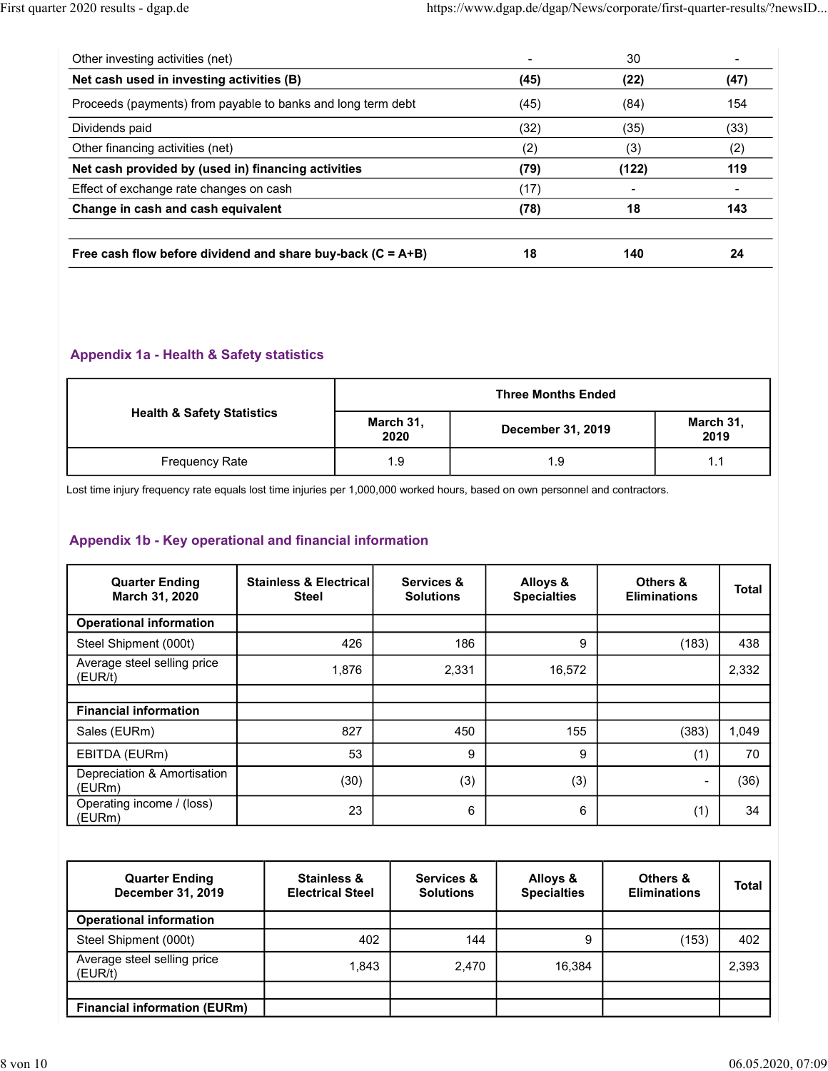| https://www.dgap.de/dgap/News/corporate/first-quarter-results/?newsID<br>30<br>$\overline{\phantom{a}}$<br>$\blacksquare$<br>(45)<br>(22)<br>(47)<br>(45)<br>(84)<br>154<br>(32)<br>(35)<br>(33)<br>(2)<br>(3)<br>(2)<br>(79)<br>(122)<br>119<br>(17)<br>$\blacksquare$<br>$\overline{\phantom{a}}$<br>(78)<br>18<br>143 |                                           |  |     |  |
|--------------------------------------------------------------------------------------------------------------------------------------------------------------------------------------------------------------------------------------------------------------------------------------------------------------------------|-------------------------------------------|--|-----|--|
|                                                                                                                                                                                                                                                                                                                          |                                           |  |     |  |
| Proceeds (payments) from payable to banks and long term debt<br>Net cash provided by (used in) financing activities                                                                                                                                                                                                      |                                           |  |     |  |
|                                                                                                                                                                                                                                                                                                                          |                                           |  |     |  |
|                                                                                                                                                                                                                                                                                                                          |                                           |  |     |  |
|                                                                                                                                                                                                                                                                                                                          |                                           |  |     |  |
|                                                                                                                                                                                                                                                                                                                          |                                           |  |     |  |
|                                                                                                                                                                                                                                                                                                                          |                                           |  |     |  |
|                                                                                                                                                                                                                                                                                                                          |                                           |  |     |  |
|                                                                                                                                                                                                                                                                                                                          |                                           |  |     |  |
|                                                                                                                                                                                                                                                                                                                          | First quarter 2020 results - dgap.de      |  |     |  |
|                                                                                                                                                                                                                                                                                                                          |                                           |  |     |  |
|                                                                                                                                                                                                                                                                                                                          | Other investing activities (net)          |  |     |  |
|                                                                                                                                                                                                                                                                                                                          | Net cash used in investing activities (B) |  |     |  |
|                                                                                                                                                                                                                                                                                                                          |                                           |  |     |  |
|                                                                                                                                                                                                                                                                                                                          | Dividends paid                            |  |     |  |
|                                                                                                                                                                                                                                                                                                                          | Other financing activities (net)          |  |     |  |
|                                                                                                                                                                                                                                                                                                                          |                                           |  |     |  |
|                                                                                                                                                                                                                                                                                                                          | Effect of exchange rate changes on cash   |  |     |  |
|                                                                                                                                                                                                                                                                                                                          | Change in cash and cash equivalent        |  |     |  |
| Free cash flow before dividend and share buy-back $(C = A + B)$<br>18<br>24                                                                                                                                                                                                                                              |                                           |  | 140 |  |
|                                                                                                                                                                                                                                                                                                                          |                                           |  |     |  |
|                                                                                                                                                                                                                                                                                                                          |                                           |  |     |  |
|                                                                                                                                                                                                                                                                                                                          | Appendix 1a - Health & Safety statistics  |  |     |  |
| <b>Three Months Ended</b>                                                                                                                                                                                                                                                                                                |                                           |  |     |  |
| <b>Health &amp; Safety Statistics</b><br>March 31,<br>March 31,<br>December 31, 2019<br>2020<br>2019                                                                                                                                                                                                                     |                                           |  |     |  |

#### Appendix 1a - Health & Safety statistics

|                                       |                   | <b>Three Months Ended</b> |                   |
|---------------------------------------|-------------------|---------------------------|-------------------|
| <b>Health &amp; Safety Statistics</b> | March 31,<br>2020 | <b>December 31, 2019</b>  | March 31,<br>2019 |
| Frequency Rate                        | 1.9               | - Q<br>ن.                 | 1.1               |

# Appendix 1b - Key operational and financial information

|                                                                                                                                                                                          |                                                   |                                |       | <b>Three Months Ended</b>      |                                 |              |
|------------------------------------------------------------------------------------------------------------------------------------------------------------------------------------------|---------------------------------------------------|--------------------------------|-------|--------------------------------|---------------------------------|--------------|
| <b>Health &amp; Safety Statistics</b>                                                                                                                                                    |                                                   | March 31,<br>2020              |       | December 31, 2019              | March 31,<br>2019               |              |
| Frequency Rate                                                                                                                                                                           |                                                   | 1.9                            |       | 1.9                            | 1.1                             |              |
| Lost time injury frequency rate equals lost time injuries per 1,000,000 worked hours, based on own personnel and contractors.<br>Appendix 1b - Key operational and financial information |                                                   |                                |       |                                |                                 |              |
| <b>Quarter Ending</b><br>March 31, 2020                                                                                                                                                  | <b>Stainless &amp; Electrical</b><br><b>Steel</b> | Services &<br><b>Solutions</b> |       | Alloys &<br><b>Specialties</b> | Others &<br><b>Eliminations</b> | <b>Total</b> |
| <b>Operational information</b>                                                                                                                                                           |                                                   |                                |       |                                |                                 |              |
| Steel Shipment (000t)                                                                                                                                                                    | 426                                               |                                | 186   | 9                              | (183)                           | 438          |
| Average steel selling price<br>(EUR/t)                                                                                                                                                   | 1,876                                             | 2,331                          |       | 16,572                         |                                 | 2,332        |
| <b>Financial information</b>                                                                                                                                                             |                                                   |                                |       |                                |                                 |              |
| Sales (EURm)                                                                                                                                                                             | 827                                               |                                | 450   | 155                            | (383)                           | 1,049        |
| EBITDA (EURm)                                                                                                                                                                            | 53                                                |                                | 9     | 9                              | (1)                             | 70           |
| Depreciation & Amortisation<br>(EURm)                                                                                                                                                    | (30)                                              |                                | (3)   | (3)                            | $\overline{\phantom{a}}$        | (36)         |
| Operating income / (loss)<br>(EURm)                                                                                                                                                      | 23                                                |                                | 6     | 6                              | (1)                             | 34           |
|                                                                                                                                                                                          |                                                   |                                |       |                                |                                 |              |
| <b>Quarter Ending</b><br>December 31, 2019                                                                                                                                               | <b>Stainless &amp;</b><br><b>Electrical Steel</b> | Services &<br><b>Solutions</b> |       | Alloys &<br><b>Specialties</b> | Others &<br><b>Eliminations</b> | <b>Total</b> |
| <b>Operational information</b>                                                                                                                                                           |                                                   |                                |       |                                |                                 |              |
| Steel Shipment (000t)                                                                                                                                                                    |                                                   | 402                            | 144   | 9                              | (153)                           | 402          |
| Average steel selling price<br>(EUR/t)                                                                                                                                                   |                                                   | 1,843                          | 2,470 | 16,384                         |                                 | 2,393        |
| <b>Financial information (EURm)</b>                                                                                                                                                      |                                                   |                                |       |                                |                                 |              |

| <b>Quarter Ending</b><br>December 31, 2019 | Stainless &<br><b>Electrical Steel</b> | Services &<br><b>Solutions</b> | Alloys &<br><b>Specialties</b> | Others &<br><b>Eliminations</b> | Total |
|--------------------------------------------|----------------------------------------|--------------------------------|--------------------------------|---------------------------------|-------|
| <b>Operational information</b>             |                                        |                                |                                |                                 |       |
| Steel Shipment (000t)                      | 402                                    | 144                            |                                | (153)                           | 402   |
| Average steel selling price<br>(EUR/t)     | 1.843                                  | 2,470                          | 16,384                         |                                 | 2,393 |
|                                            |                                        |                                |                                |                                 |       |
| <b>Financial information (EURm)</b>        |                                        |                                |                                |                                 |       |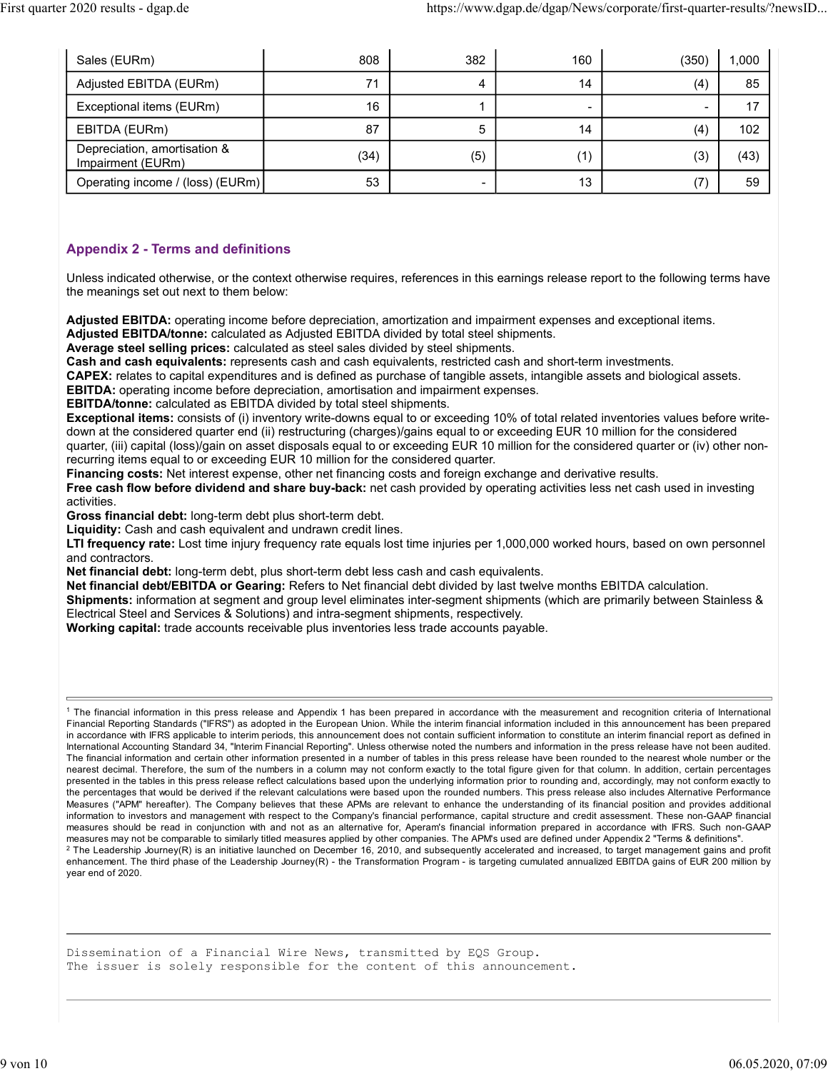| First quarter 2020 results - dgap.de              |      |                | https://www.dgap.de/dgap/News/corporate/first-quarter-results/?newsID |                |             |
|---------------------------------------------------|------|----------------|-----------------------------------------------------------------------|----------------|-------------|
|                                                   | 808  | 382            | 160                                                                   |                |             |
| Sales (EURm)<br>Adjusted EBITDA (EURm)            | 71   | $\overline{4}$ | 14                                                                    | (350)<br>(4)   | 1,000<br>85 |
| Exceptional items (EURm)                          | 16   | $\mathbf{1}$   | $\overline{a}$                                                        | $\mathbb{Z}^2$ | 17          |
| EBITDA (EURm)                                     | 87   | 5              | 14                                                                    | (4)            | 102         |
| Depreciation, amortisation &<br>Impairment (EURm) | (34) | (5)            | (1)                                                                   | (3)            | (43)        |

### Appendix 2 - Terms and definitions

Unless indicated otherwise, or the context otherwise requires, references in this earnings release report to the following terms have the meanings set out next to them below:

Adjusted EBITDA: operating income before depreciation, amortization and impairment expenses and exceptional items. Adjusted EBITDA/tonne: calculated as Adjusted EBITDA divided by total steel shipments.

Average steel selling prices: calculated as steel sales divided by steel shipments.

Cash and cash equivalents: represents cash and cash equivalents, restricted cash and short-term investments.

CAPEX: relates to capital expenditures and is defined as purchase of tangible assets, intangible assets and biological assets.

EBITDA: operating income before depreciation, amortisation and impairment expenses.

EBITDA/tonne: calculated as EBITDA divided by total steel shipments.

Exceptional items: consists of (i) inventory write-downs equal to or exceeding 10% of total related inventories values before writedown at the considered quarter end (ii) restructuring (charges)/gains equal to or exceeding EUR 10 million for the considered quarter, (iii) capital (loss)/gain on asset disposals equal to or exceeding EUR 10 million for the considered quarter or (iv) other nonrecurring items equal to or exceeding EUR 10 million for the considered quarter.

Financing costs: Net interest expense, other net financing costs and foreign exchange and derivative results.

Free cash flow before dividend and share buy-back: net cash provided by operating activities less net cash used in investing activities.

Gross financial debt: long-term debt plus short-term debt.

Liquidity: Cash and cash equivalent and undrawn credit lines.

LTI frequency rate: Lost time injury frequency rate equals lost time injuries per 1,000,000 worked hours, based on own personnel and contractors.

Net financial debt: long-term debt, plus short-term debt less cash and cash equivalents.

Net financial debt/EBITDA or Gearing: Refers to Net financial debt divided by last twelve months EBITDA calculation.

Shipments: information at segment and group level eliminates inter-segment shipments (which are primarily between Stainless & Electrical Steel and Services & Solutions) and intra-segment shipments, respectively.

Working capital: trade accounts receivable plus inventories less trade accounts payable.

1 The financial information in this press release and Appendix 1 has been prepared in accordance with the measurement and recognition criteria of International Financial Reporting Standards ("IFRS") as adopted in the European Union. While the interim financial information included in this announcement has been prepared in accordance with IFRS applicable to interim periods, this announcement does not contain sufficient information to constitute an interim financial report as defined in International Accounting Standard 34, "Interim Financial Reporting". Unless otherwise noted the numbers and information in the press release have not been audited. The financial information and certain other information presented in a number of tables in this press release have been rounded to the nearest whole number or the nearest decimal. Therefore, the sum of the numbers in a column may not conform exactly to the total figure given for that column. In addition, certain percentages presented in the tables in this press release reflect calculations based upon the underlying information prior to rounding and, accordingly, may not conform exactly to the percentages that would be derived if the relevant calculations were based upon the rounded numbers. This press release also includes Alternative Performance Measures ("APM" hereafter). The Company believes that these APMs are relevant to enhance the understanding of its financial position and provides additional information to investors and management with respect to the Company's financial performance, capital structure and credit assessment. These non-GAAP financial measures should be read in conjunction with and not as an alternative for, Aperam's financial information prepared in accordance with IFRS. Such non-GAAP measures may not be comparable to similarly titled measures applied by other companies. The APM's used are defined under Appendix 2 "Terms & definitions".

 $^2$  The Leadership Journey(R) is an initiative launched on December 16, 2010, and subsequently accelerated and increased, to target management gains and profit enhancement. The third phase of the Leadership Journey(R) - the Transformation Program - is targeting cumulated annualized EBITDA gains of EUR 200 million by year end of 2020.

Dissemination of a Financial Wire News, transmitted by EQS Group. The issuer is solely responsible for the content of this announcement.